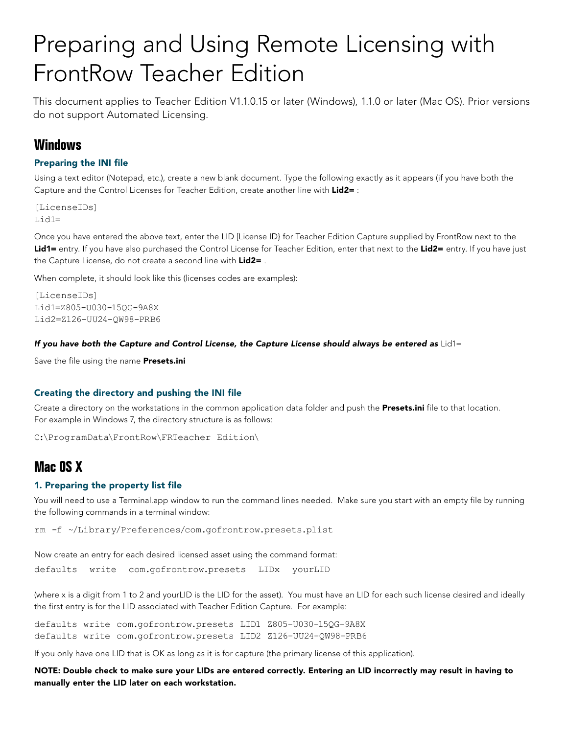# Preparing and Using Remote Licensing with FrontRow Teacher Edition

This document applies to Teacher Edition V1.1.0.15 or later (Windows), 1.1.0 or later (Mac OS). Prior versions do not support Automated Licensing.

# **Windows**

# Preparing the INI file

Using a text editor (Notepad, etc.), create a new blank document. Type the following exactly as it appears (if you have both the Capture and the Control Licenses for Teacher Edition, create another line with Lid2= :

[LicenseIDs] Lid1=

Once you have entered the above text, enter the LID [License ID} for Teacher Edition Capture supplied by FrontRow next to the Lid1= entry. If you have also purchased the Control License for Teacher Edition, enter that next to the Lid2= entry. If you have just the Capture License, do not create a second line with Lid2=.

When complete, it should look like this (licenses codes are examples):

[LicenseIDs] Lid1=Z805-U030-15QG-9A8X Lid2=Z126-UU24-QW98-PRB6

#### *If you have both the Capture and Control License, the Capture License should always be entered as* Lid1=

Save the file using the name Presets.ini

# Creating the directory and pushing the INI file

Create a directory on the workstations in the common application data folder and push the Presets.ini file to that location. For example in Windows 7, the directory structure is as follows:

C:\ProgramData\FrontRow\FRTeacher Edition\

# **Mac OS X**

#### 1. Preparing the property list file

You will need to use a Terminal.app window to run the command lines needed. Make sure you start with an empty file by running the following commands in a terminal window:

rm -f ~/Library/Preferences/com.gofrontrow.presets.plist

Now create an entry for each desired licensed asset using the command format:

```
defaults write com.gofrontrow.presets LIDx yourLID
```
(where x is a digit from 1 to 2 and yourLID is the LID for the asset). You must have an LID for each such license desired and ideally the first entry is for the LID associated with Teacher Edition Capture. For example:

defaults write com.gofrontrow.presets LID1 Z805-U030-15QG-9A8X defaults write com.gofrontrow.presets LID2 Z126-UU24-QW98-PRB6

If you only have one LID that is OK as long as it is for capture (the primary license of this application).

NOTE: Double check to make sure your LIDs are entered correctly. Entering an LID incorrectly may result in having to manually enter the LID later on each workstation.